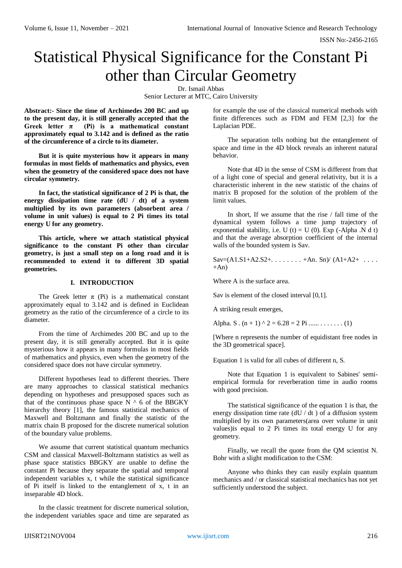ISSN No:-2456-2165

# Statistical Physical Significance for the Constant Pi other than Circular Geometry

Dr. Ismail Abbas Senior Lecturer at MTC, Cairo University

**Abstract:- Since the time of Archimedes 200 BC and up to the present day, it is still generally accepted that the**  Greek letter  $\pi$  (Pi) is a mathematical constant **approximately equal to 3.142 and is defined as the ratio of the circumference of a circle to its diameter.**

**But it is quite mysterious how it appears in many formulas in most fields of mathematics and physics, even when the geometry of the considered space does not have circular symmetry.**

**In fact, the statistical significance of 2 Pi is that, the energy dissipation time rate (dU / dt) of a system multiplied by its own parameters (absorbent area / volume in unit values) is equal to 2 Pi times its total energy U for any geometry.**

**This article, where we attach statistical physical significance to the constant Pi other than circular geometry, is just a small step on a long road and it is recommended to extend it to different 3D spatial geometries.**

## **I. INTRODUCTION**

The Greek letter  $\pi$  (Pi) is a mathematical constant approximately equal to 3.142 and is defined in Euclidean geometry as the ratio of the circumference of a circle to its diameter.

From the time of Archimedes 200 BC and up to the present day, it is still generally accepted. But it is quite mysterious how it appears in many formulas in most fields of mathematics and physics, even when the geometry of the considered space does not have circular symmetry.

Different hypotheses lead to different theories. There are many approaches to classical statistical mechanics depending on hypotheses and presupposed spaces such as that of the continuous phase space  $N \wedge 6$  of the BBGKY hierarchy theory [1], the famous statistical mechanics of Maxwell and Boltzmann and finally the statistic of the matrix chain B proposed for the discrete numerical solution of the boundary value problems.

We assume that current statistical quantum mechanics CSM and classical Maxwell-Boltzmann statistics as well as phase space statistics BBGKY are unable to define the constant Pi because they separate the spatial and temporal independent variables x, t while the statistical significance of Pi itself is linked to the entanglement of x, t in an inseparable 4D block.

In the classic treatment for discrete numerical solution, the independent variables space and time are separated as for example the use of the classical numerical methods with finite differences such as FDM and FEM [2,3] for the Laplacian PDE.

The separation tells nothing but the entanglement of space and time in the 4D block reveals an inherent natural behavior.

Note that 4D in the sense of CSM is different from that of a light cone of special and general relativity, but it is a characteristic inherent in the new statistic of the chains of matrix B proposed for the solution of the problem of the limit values.

In short, If we assume that the rise / fall time of the dynamical system follows a time jump trajectory of exponential stability, i.e. U (t) = U (0). Exp (-Alpha .N d t) and that the average absorption coefficient of the internal walls of the bounded system is Sav.

 $Sav=(A1.S1+A2.S2+......+An.Sn)/(A1+A2+...$  $+An$ )

Where A is the surface area.

Sav is element of the closed interval [0,1].

A striking result emerges,

Alpha. S .  $(n + 1)$  ^ 2 = 6.28 = 2 Pi ...... . . . . . . . . . (1)

[Where n represents the number of equidistant free nodes in the 3D geometrical space].

Equation 1 is valid for all cubes of different n, S.

Note that Equation 1 is equivalent to Sabines' semiempirical formula for reverberation time in audio rooms with good precision.

The statistical significance of the equation 1 is that, the energy dissipation time rate  $(dU / dt)$  of a diffusion system multiplied by its own parameters(area over volume in unit values)is equal to 2 Pi times its total energy U for any geometry.

Finally, we recall the quote from the QM scientist N. Bohr with a slight modification to the CSM:

Anyone who thinks they can easily explain quantum mechanics and / or classical statistical mechanics has not yet sufficiently understood the subject.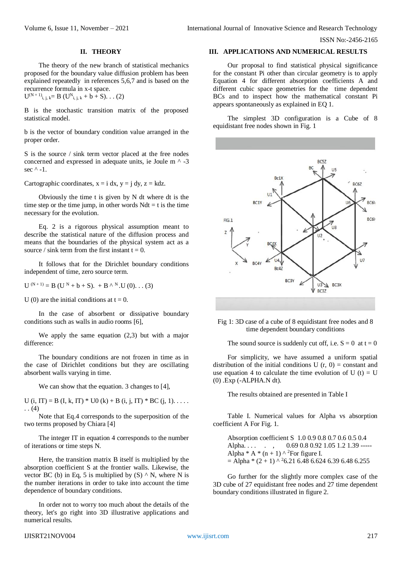ISSN No:-2456-2165

#### **II. THEORY**

The theory of the new branch of statistical mechanics proposed for the boundary value diffusion problem has been explained repeatedly in references 5,6,7 and is based on the recurrence formula in x-t space.

 $U^{(N+1)}$ <sub>i, j, k</sub> = B ( $U^{N}$ <sub>i, j, k</sub> + b + S). . . (2)

B is the stochastic transition matrix of the proposed statistical model.

b is the vector of boundary condition value arranged in the proper order.

S is the source / sink term vector placed at the free nodes concerned and expressed in adequate units, ie Joule m ^ -3 sec  $^{\wedge}$  -1.

Cartographic coordinates,  $x = i dx$ ,  $y = j dy$ ,  $z = k dz$ .

Obviously the time t is given by N dt where dt is the time step or the time jump, in other words  $Ndt = t$  is the time necessary for the evolution.

Eq. 2 is a rigorous physical assumption meant to describe the statistical nature of the diffusion process and means that the boundaries of the physical system act as a source / sink term from the first instant  $t = 0$ .

It follows that for the Dirichlet boundary conditions independent of time, zero source term.

 $U^{(N+1)} = B (U^N + b + S). + B^{\Lambda N}.U(0).$  (3)

U (0) are the initial conditions at  $t = 0$ .

In the case of absorbent or dissipative boundary conditions such as walls in audio rooms [6],

We apply the same equation (2,3) but with a major difference:

The boundary conditions are not frozen in time as in the case of Dirichlet conditions but they are oscillating absorbent walls varying in time.

We can show that the equation. 3 changes to [4],

U (i, IT) = B (I, k, IT) \* U0 (k) + B (i, j, IT) \* BC (j, 1).... . . (4)

Note that Eq.4 corresponds to the superposition of the two terms proposed by Chiara [4]

The integer IT in equation 4 corresponds to the number of iterations or time steps N.

Here, the transition matrix B itself is multiplied by the absorption coefficient S at the frontier walls. Likewise, the vector BC (b) in Eq, 5 is multiplied by  $(S) \wedge N$ , where N is the number iterations in order to take into account the time dependence of boundary conditions.

In order not to worry too much about the details of the theory, let's go right into 3D illustrative applications and numerical results.

#### IJISRT21NOV004 [www.ijisrt.com](http://www.ijisrt.com/) 217

#### **III. APPLICATIONS AND NUMERICAL RESULTS**

Our proposal to find statistical physical significance for the constant Pi other than circular geometry is to apply Equation 4 for different absorption coefficients A and different cubic space geometries for the time dependent BCs and to inspect how the mathematical constant Pi appears spontaneously as explained in EQ 1.

The simplest 3D configuration is a Cube of 8 equidistant free nodes shown in Fig. 1



Fig 1: 3D case of a cube of 8 equidistant free nodes and 8 time dependent boundary conditions

The sound source is suddenly cut off, i.e.  $S = 0$  at  $t = 0$ 

For simplicity, we have assumed a uniform spatial distribution of the initial conditions U  $(r, 0)$  = constant and use equation 4 to calculate the time evolution of U (t) = U (0) .Exp (-ALPHA.N dt).

The results obtained are presented in Table I

Table I. Numerical values for Alpha vs absorption coefficient A For Fig. 1.

Absorption coefficient S 1.0 0.9 0.8 0.7 0.6 0.5 0.4 Alpha. . . . . . , 0.69 0.8 0.92 1.05 1.2 1.39 -----Alpha \* A \*  $(n + 1)$  ^ <sup>2</sup>For figure I.  $=$  Alpha \* (2 + 1) ^ 26.21 6.48 6.624 6.39 6.48 6.255

Go further for the slightly more complex case of the 3D cube of 27 equidistant free nodes and 27 time dependent boundary conditions illustrated in figure 2.